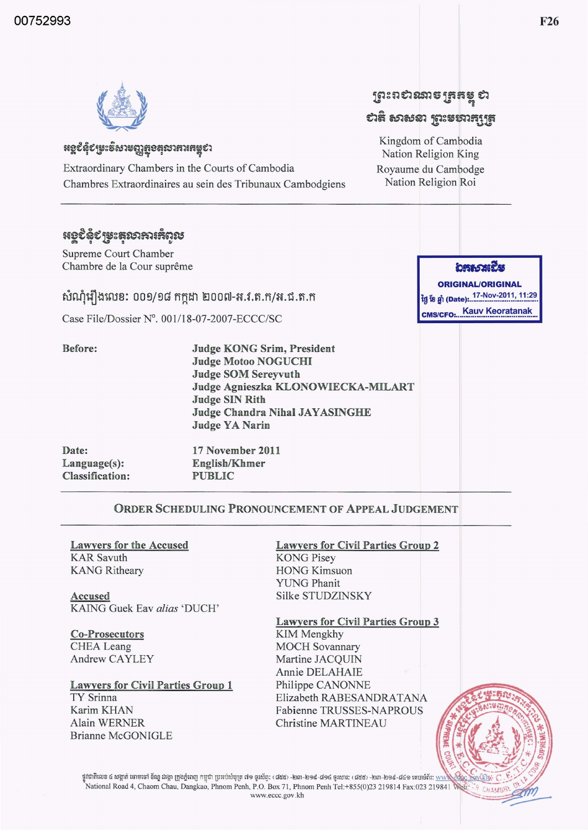

### **អ**ខ្ពបំនុំបម្រះទីសាមញ្ញត្តខគុលាភារគម្ពបា

Extraordinary Chambers in the Courts of Cambodia Chambres Extraordinaires au sein des Tribunaux Cambodgiens

## **หอธรรณะ** สัญญ

Supreme Court Chamber Chambre de la Cour suprême

សំណុំរឿងលេខ: ០០១/១៨ កក្កដា ២០០៧-អ.វ.ត.ក/អ.ជ.ត.ក

Case File/Dossier N°. 001/18-07-2007-ECCC/SC

Before:

**Judge KONG Srim, President Judge Motoo NOGUCHI Judge SOM Sereyvuth** Judge Agnieszka KLONOWIECKA-MILART **Judge SIN Rith Judge Chandra Nihal JAYASINGHE Judge YA Narin** 

| Date:                  | 17 November 2011 |
|------------------------|------------------|
| Language(s):           | English/Khmer    |
| <b>Classification:</b> | <b>PUBLIC</b>    |

### ORDER SCHEDULING PRONOUNCEMENT OF APPEAL JUDGEMENT

**Lawyers for the Accused KAR** Savuth **KANG Ritheary** 

Accused KAING Guek Eav alias 'DUCH'

**Co-Prosecutors CHEA** Leang **Andrew CAYLEY** 

**Alain WERNER** 

**Brianne McGONIGLE** 

**Lawyers for Civil Parties Group 1 TY Srinna** Karim KHAN

**Lawyers for Civil Parties Group 2 KONG Pisey HONG Kimsuon YUNG Phanit Silke STUDZINSKY** 

**Lawyers for Civil Parties Group 3 KIM Mengkhy** 

**MOCH Sovannary** Martine JACQUIN Annie DELAHAIE Philippe CANONNE Elizabeth RABESANDRATANA Fabienne TRUSSES-NAPROUS Christine MARTINEAU

ថ្នូវជាតិលេខ ៤ សង្កាត់ ចោមចៅ ខ័ណ្ឌ ដង្កោ ក្រុងភ្នំពេញ កម្ពុជា ប្រអប់សំបុត្រ ៧១ ទូរស័ព្ទ: (៨៥៥-៤១៤ ទូរសារ: (៨៥៥) -២៣-២១៩-៨៤១ តេបាទំព័រ: <u>ww</u> National Road 4, Chaom Chau, Dangkao, Phnom Penh, P.O. Box 71, Phnom Penh Tel:+855(0)23 219814 Fax:023 219841 www.eccc.gov.kh

# ព្រះពស់រះនាទច្រកម្ពុ ស

## បាតិ សាសនា ព្រះមហាក្សត្រ

Kingdom of Cambodia Nation Religion King Royaume du Cambodge Nation Religion Roi

อสธราชนีย

**ORIGINAL/ORIGINAL** ថ្ងៃ ខែ ឆ្នាំ (Date): 17-Nov-2011, 11:29 **CMS/CFO: Kauv Keoratanak**